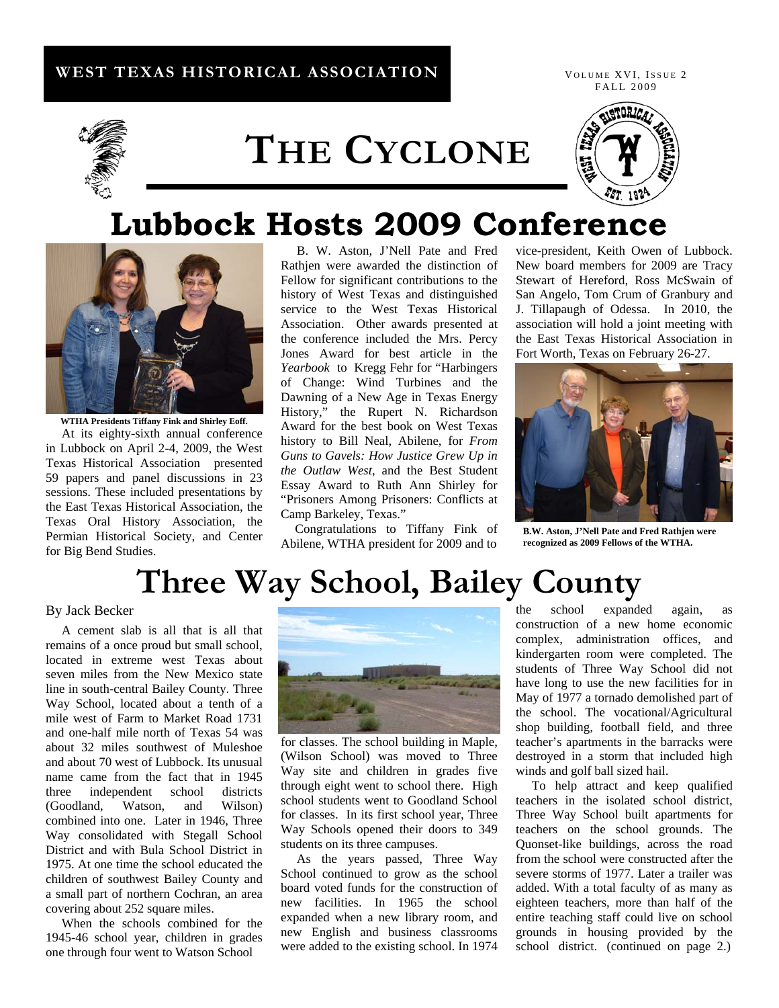## **WEST TEXAS HISTORICAL ASSOCIATION**





# **THE CYCLONE**



## **Lubbock Hosts 2009 Conference**



**WTHA Presidents Tiffany Fink and Shirley Eoff.**  At its eighty-sixth annual conference in Lubbock on April 2-4, 2009, the West Texas Historical Association presented 59 papers and panel discussions in 23 sessions. These included presentations by the East Texas Historical Association, the Texas Oral History Association, the Permian Historical Society, and Center for Big Bend Studies.

 B. W. Aston, J'Nell Pate and Fred Rathjen were awarded the distinction of Fellow for significant contributions to the history of West Texas and distinguished service to the West Texas Historical Association. Other awards presented at the conference included the Mrs. Percy Jones Award for best article in the *Yearbook* to Kregg Fehr for "Harbingers of Change: Wind Turbines and the Dawning of a New Age in Texas Energy History," the Rupert N. Richardson Award for the best book on West Texas history to Bill Neal, Abilene, for *From Guns to Gavels: How Justice Grew Up in the Outlaw West,* and the Best Student Essay Award to Ruth Ann Shirley for "Prisoners Among Prisoners: Conflicts at Camp Barkeley, Texas."

 Congratulations to Tiffany Fink of Abilene, WTHA president for 2009 and to

vice-president, Keith Owen of Lubbock. New board members for 2009 are Tracy Stewart of Hereford, Ross McSwain of San Angelo, Tom Crum of Granbury and J. Tillapaugh of Odessa. In 2010, the association will hold a joint meeting with the East Texas Historical Association in Fort Worth, Texas on February 26-27.



 **B.W. Aston, J'Nell Pate and Fred Rathjen were recognized as 2009 Fellows of the WTHA.**

# **Three Way School, Bailey County**

### By Jack Becker

A cement slab is all that is all that remains of a once proud but small school, located in extreme west Texas about seven miles from the New Mexico state line in south-central Bailey County. Three Way School, located about a tenth of a mile west of Farm to Market Road 1731 and one-half mile north of Texas 54 was about 32 miles southwest of Muleshoe and about 70 west of Lubbock. Its unusual name came from the fact that in 1945 three independent school districts (Goodland, Watson, and Wilson) combined into one. Later in 1946, Three Way consolidated with Stegall School District and with Bula School District in 1975. At one time the school educated the children of southwest Bailey County and a small part of northern Cochran, an area covering about 252 square miles.

 When the schools combined for the 1945-46 school year, children in grades one through four went to Watson School



for classes. The school building in Maple, (Wilson School) was moved to Three Way site and children in grades five through eight went to school there. High school students went to Goodland School for classes. In its first school year, Three Way Schools opened their doors to 349 students on its three campuses.

 As the years passed, Three Way School continued to grow as the school board voted funds for the construction of new facilities. In 1965 the school expanded when a new library room, and new English and business classrooms were added to the existing school. In 1974 the school expanded again, as construction of a new home economic complex, administration offices, and kindergarten room were completed. The students of Three Way School did not have long to use the new facilities for in May of 1977 a tornado demolished part of the school. The vocational/Agricultural shop building, football field, and three teacher's apartments in the barracks were destroyed in a storm that included high winds and golf ball sized hail.

To help attract and keep qualified teachers in the isolated school district, Three Way School built apartments for teachers on the school grounds. The Quonset-like buildings, across the road from the school were constructed after the severe storms of 1977. Later a trailer was added. With a total faculty of as many as eighteen teachers, more than half of the entire teaching staff could live on school grounds in housing provided by the school district. (continued on page 2.)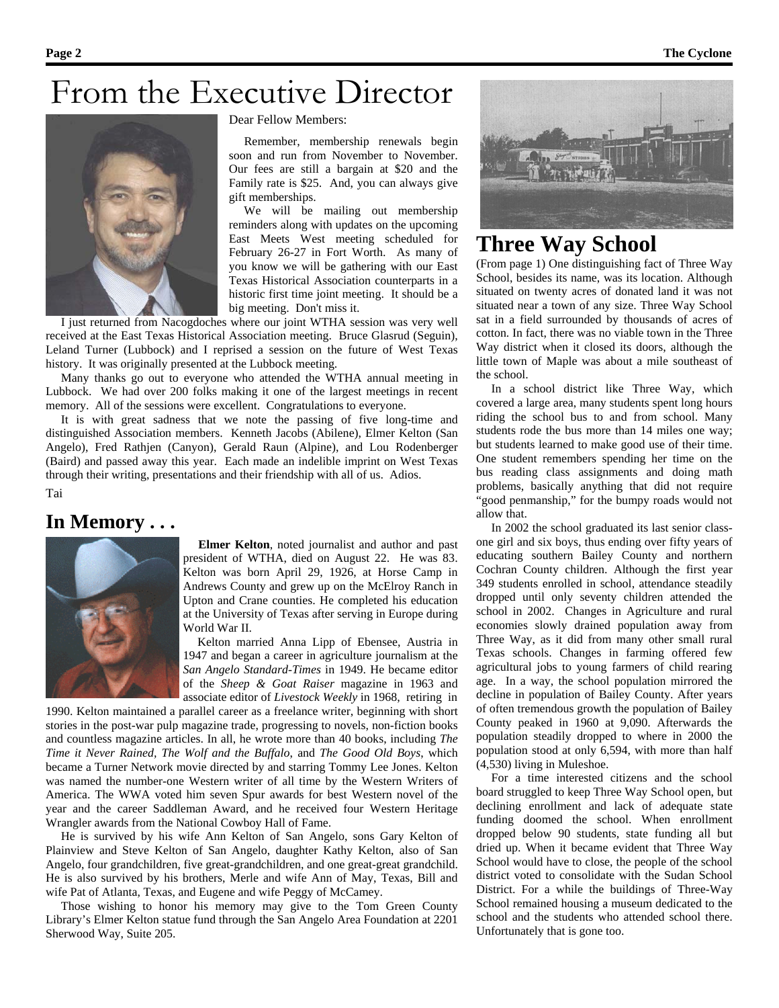## From the Executive Director



#### Dear Fellow Members:

 Remember, membership renewals begin soon and run from November to November. Our fees are still a bargain at \$20 and the Family rate is \$25. And, you can always give gift memberships.

 We will be mailing out membership reminders along with updates on the upcoming East Meets West meeting scheduled for February 26-27 in Fort Worth. As many of you know we will be gathering with our East Texas Historical Association counterparts in a historic first time joint meeting. It should be a big meeting. Don't miss it.

 I just returned from Nacogdoches where our joint WTHA session was very well received at the East Texas Historical Association meeting. Bruce Glasrud (Seguin), Leland Turner (Lubbock) and I reprised a session on the future of West Texas history. It was originally presented at the Lubbock meeting.

Many thanks go out to everyone who attended the WTHA annual meeting in Lubbock. We had over 200 folks making it one of the largest meetings in recent memory. All of the sessions were excellent. Congratulations to everyone.

It is with great sadness that we note the passing of five long-time and distinguished Association members. Kenneth Jacobs (Abilene), Elmer Kelton (San Angelo), Fred Rathjen (Canyon), Gerald Raun (Alpine), and Lou Rodenberger (Baird) and passed away this year. Each made an indelible imprint on West Texas through their writing, presentations and their friendship with all of us. Adios.

Tai



**In Memory . . .**<br>**Elmer Kelton**, noted journalist and author and past president of WTHA, died on August 22. He was 83. Kelton was born April 29, 1926, at Horse Camp in Andrews County and grew up on the McElroy Ranch in Upton and Crane counties. He completed his education at the University of Texas after serving in Europe during World War II.

> Kelton married Anna Lipp of Ebensee, Austria in 1947 and began a career in agriculture journalism at the *San Angelo Standard-Times* in 1949. He became editor of the *Sheep & Goat Raiser* magazine in 1963 and associate editor of *Livestock Weekly* in 1968, retiring in

1990. Kelton maintained a parallel career as a freelance writer, beginning with short stories in the post-war pulp magazine trade, progressing to novels, non-fiction books and countless magazine articles. In all, he wrote more than 40 books, including *The Time it Never Rained, The Wolf and the Buffalo*, and *The Good Old Boys*, which became a Turner Network movie directed by and starring Tommy Lee Jones. Kelton was named the number-one Western writer of all time by the Western Writers of America. The WWA voted him seven Spur awards for best Western novel of the year and the career Saddleman Award, and he received four Western Heritage Wrangler awards from the National Cowboy Hall of Fame.

He is survived by his wife Ann Kelton of San Angelo, sons Gary Kelton of Plainview and Steve Kelton of San Angelo, daughter Kathy Kelton, also of San Angelo, four grandchildren, five great-grandchildren, and one great-great grandchild. He is also survived by his brothers, Merle and wife Ann of May, Texas, Bill and wife Pat of Atlanta, Texas, and Eugene and wife Peggy of McCamey.

Those wishing to honor his memory may give to the Tom Green County Library's Elmer Kelton statue fund through the San Angelo Area Foundation at 2201 Sherwood Way, Suite 205.



## **Three Way School**

(From page 1) One distinguishing fact of Three Way School, besides its name, was its location. Although situated on twenty acres of donated land it was not situated near a town of any size. Three Way School sat in a field surrounded by thousands of acres of cotton. In fact, there was no viable town in the Three Way district when it closed its doors, although the little town of Maple was about a mile southeast of the school.

In a school district like Three Way, which covered a large area, many students spent long hours riding the school bus to and from school. Many students rode the bus more than 14 miles one way; but students learned to make good use of their time. One student remembers spending her time on the bus reading class assignments and doing math problems, basically anything that did not require "good penmanship," for the bumpy roads would not allow that.

In 2002 the school graduated its last senior classone girl and six boys, thus ending over fifty years of educating southern Bailey County and northern Cochran County children. Although the first year 349 students enrolled in school, attendance steadily dropped until only seventy children attended the school in 2002. Changes in Agriculture and rural economies slowly drained population away from Three Way, as it did from many other small rural Texas schools. Changes in farming offered few agricultural jobs to young farmers of child rearing age. In a way, the school population mirrored the decline in population of Bailey County. After years of often tremendous growth the population of Bailey County peaked in 1960 at 9,090. Afterwards the population steadily dropped to where in 2000 the population stood at only 6,594, with more than half (4,530) living in Muleshoe.

For a time interested citizens and the school board struggled to keep Three Way School open, but declining enrollment and lack of adequate state funding doomed the school. When enrollment dropped below 90 students, state funding all but dried up. When it became evident that Three Way School would have to close, the people of the school district voted to consolidate with the Sudan School District. For a while the buildings of Three-Way School remained housing a museum dedicated to the school and the students who attended school there. Unfortunately that is gone too.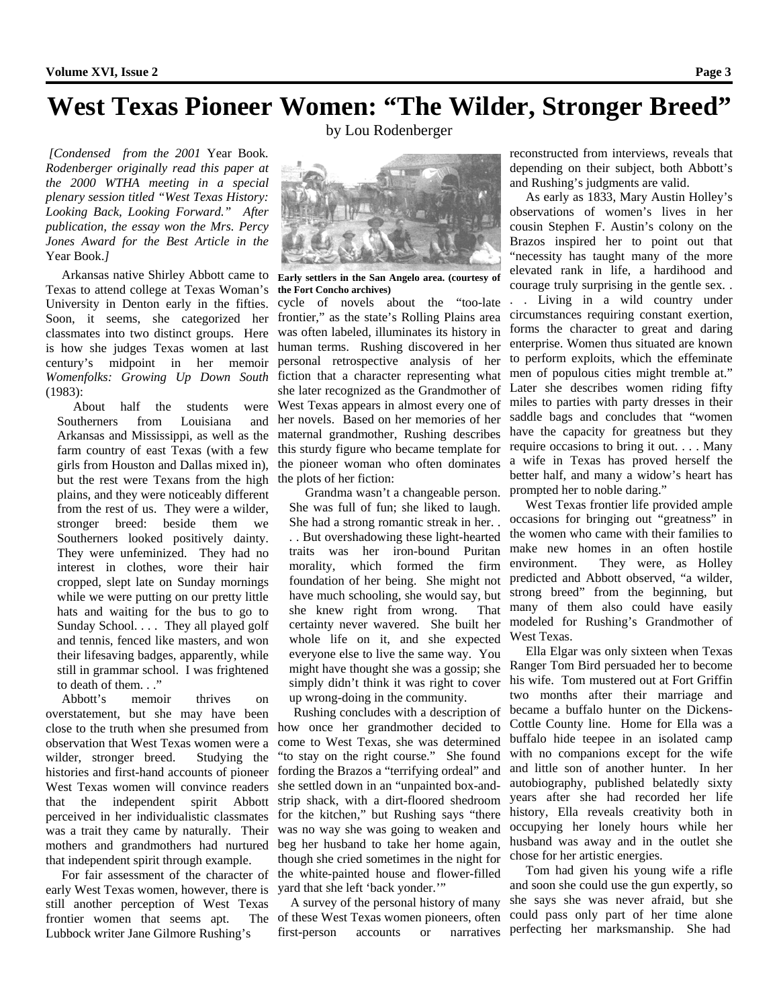## **West Texas Pioneer Women: "The Wilder, Stronger Breed"**

*[Condensed from the 2001* Year Book*. Rodenberger originally read this paper at the 2000 WTHA meeting in a special plenary session titled "West Texas History: Looking Back, Looking Forward." After publication, the essay won the Mrs. Percy Jones Award for the Best Article in the*  Year Book.*]* 

Arkansas native Shirley Abbott came to Texas to attend college at Texas Woman's University in Denton early in the fifties. Soon, it seems, she categorized her classmates into two distinct groups. Here is how she judges Texas women at last century's midpoint in her memoir *Womenfolks: Growing Up Down South* (1983):

 About half the students were Southerners from Louisiana and Arkansas and Mississippi, as well as the farm country of east Texas (with a few girls from Houston and Dallas mixed in), but the rest were Texans from the high plains, and they were noticeably different from the rest of us. They were a wilder, stronger breed: beside them we Southerners looked positively dainty. They were unfeminized. They had no interest in clothes, wore their hair cropped, slept late on Sunday mornings while we were putting on our pretty little hats and waiting for the bus to go to Sunday School. . . . They all played golf and tennis, fenced like masters, and won their lifesaving badges, apparently, while still in grammar school. I was frightened to death of them. . ."

 Abbott's memoir thrives on overstatement, but she may have been close to the truth when she presumed from observation that West Texas women were a wilder, stronger breed. Studying the histories and first-hand accounts of pioneer West Texas women will convince readers that the independent spirit Abbott perceived in her individualistic classmates was a trait they came by naturally. Their mothers and grandmothers had nurtured that independent spirit through example.

 For fair assessment of the character of early West Texas women, however, there is still another perception of West Texas frontier women that seems apt. Lubbock writer Jane Gilmore Rushing's

by Lou Rodenberger



**Early settlers in the San Angelo area. (courtesy of the Fort Concho archives)** 

cycle of novels about the "too-late frontier," as the state's Rolling Plains area was often labeled, illuminates its history in human terms. Rushing discovered in her personal retrospective analysis of her fiction that a character representing what she later recognized as the Grandmother of West Texas appears in almost every one of her novels. Based on her memories of her maternal grandmother, Rushing describes this sturdy figure who became template for the pioneer woman who often dominates the plots of her fiction:

 Grandma wasn't a changeable person. She was full of fun; she liked to laugh. She had a strong romantic streak in her. . . . But overshadowing these light-hearted traits was her iron-bound Puritan morality, which formed the firm foundation of her being. She might not have much schooling, she would say, but she knew right from wrong. That certainty never wavered. She built her whole life on it, and she expected everyone else to live the same way. You might have thought she was a gossip; she simply didn't think it was right to cover up wrong-doing in the community.

 Rushing concludes with a description of how once her grandmother decided to come to West Texas, she was determined "to stay on the right course." She found fording the Brazos a "terrifying ordeal" and she settled down in an "unpainted box-andstrip shack, with a dirt-floored shedroom for the kitchen," but Rushing says "there was no way she was going to weaken and beg her husband to take her home again, though she cried sometimes in the night for the white-painted house and flower-filled yard that she left 'back yonder.'"

A survey of the personal history of many The of these West Texas women pioneers, often first-person accounts or narratives

reconstructed from interviews, reveals that depending on their subject, both Abbott's and Rushing's judgments are valid.

 As early as 1833, Mary Austin Holley's observations of women's lives in her cousin Stephen F. Austin's colony on the Brazos inspired her to point out that "necessity has taught many of the more elevated rank in life, a hardihood and courage truly surprising in the gentle sex. . . . Living in a wild country under circumstances requiring constant exertion, forms the character to great and daring enterprise. Women thus situated are known to perform exploits, which the effeminate men of populous cities might tremble at." Later she describes women riding fifty miles to parties with party dresses in their saddle bags and concludes that "women have the capacity for greatness but they require occasions to bring it out. . . . Many a wife in Texas has proved herself the better half, and many a widow's heart has prompted her to noble daring."

West Texas frontier life provided ample occasions for bringing out "greatness" in the women who came with their families to make new homes in an often hostile environment. They were, as Holley predicted and Abbott observed, "a wilder, strong breed" from the beginning, but many of them also could have easily modeled for Rushing's Grandmother of West Texas.

Ella Elgar was only sixteen when Texas Ranger Tom Bird persuaded her to become his wife. Tom mustered out at Fort Griffin two months after their marriage and became a buffalo hunter on the Dickens-Cottle County line. Home for Ella was a buffalo hide teepee in an isolated camp with no companions except for the wife and little son of another hunter. In her autobiography, published belatedly sixty years after she had recorded her life history, Ella reveals creativity both in occupying her lonely hours while her husband was away and in the outlet she chose for her artistic energies.

Tom had given his young wife a rifle and soon she could use the gun expertly, so she says she was never afraid, but she could pass only part of her time alone perfecting her marksmanship. She had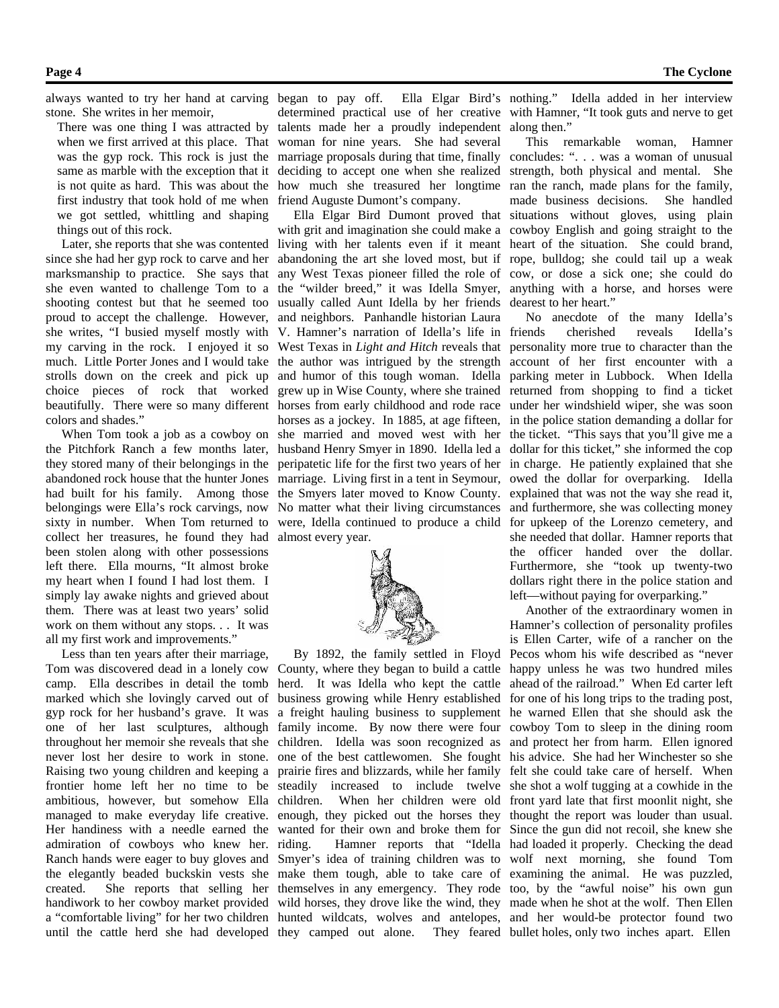stone. She writes in her memoir,

There was one thing I was attracted by when we first arrived at this place. That first industry that took hold of me when friend Auguste Dumont's company. we got settled, whittling and shaping things out of this rock.

marksmanship to practice. She says that she even wanted to challenge Tom to a shooting contest but that he seemed too proud to accept the challenge. However, and neighbors. Panhandle historian Laura she writes, "I busied myself mostly with my carving in the rock. I enjoyed it so much. Little Porter Jones and I would take strolls down on the creek and pick up choice pieces of rock that worked colors and shades."

the Pitchfork Ranch a few months later, they stored many of their belongings in the abandoned rock house that the hunter Jones had built for his family. Among those belongings were Ella's rock carvings, now sixty in number. When Tom returned to collect her treasures, he found they had been stolen along with other possessions left there. Ella mourns, "It almost broke my heart when I found I had lost them. I simply lay awake nights and grieved about them. There was at least two years' solid work on them without any stops. . . It was all my first work and improvements."

Less than ten years after their marriage, Tom was discovered dead in a lonely cow County, where they began to build a cattle camp. Ella describes in detail the tomb herd. It was Idella who kept the cattle marked which she lovingly carved out of business growing while Henry established gyp rock for her husband's grave. It was a freight hauling business to supplement one of her last sculptures, although family income. By now there were four cowboy Tom to sleep in the dining room throughout her memoir she reveals that she children. Idella was soon recognized as and protect her from harm. Ellen ignored never lost her desire to work in stone. one of the best cattlewomen. She fought his advice. She had her Winchester so she Raising two young children and keeping a prairie fires and blizzards, while her family felt she could take care of herself. When frontier home left her no time to be steadily increased to include twelve she shot a wolf tugging at a cowhide in the ambitious, however, but somehow Ella children. When her children were old front yard late that first moonlit night, she managed to make everyday life creative. enough, they picked out the horses they thought the report was louder than usual. Her handiness with a needle earned the wanted for their own and broke them for Since the gun did not recoil, she knew she admiration of cowboys who knew her. Ranch hands were eager to buy gloves and Smyer's idea of training children was to wolf next morning, she found Tom the elegantly beaded buckskin vests she make them tough, able to take care of examining the animal. He was puzzled, created. She reports that selling her themselves in any emergency. They rode too, by the "awful noise" his own gun handiwork to her cowboy market provided wild horses, they drove like the wind, they made when he shot at the wolf. Then Ellen a "comfortable living" for her two children hunted wildcats, wolves and antelopes, and her would-be protector found two

always wanted to try her hand at carving began to pay off. Ella Elgar Bird's nothing." Idella added in her interview was the gyp rock. This rock is just the marriage proposals during that time, finally concludes: ". . . was a woman of unusual same as marble with the exception that it deciding to accept one when she realized strength, both physical and mental. She is not quite as hard. This was about the how much she treasured her longtime ran the ranch, made plans for the family, determined practical use of her creative with Hamner, "It took guts and nerve to get talents made her a proudly independent along then." woman for nine years. She had several

 Later, she reports that she was contented living with her talents even if it meant heart of the situation. She could brand, since she had her gyp rock to carve and her abandoning the art she loved most, but if rope, bulldog; she could tail up a weak beautifully. There were so many different horses from early childhood and rode race under her windshield wiper, she was soon When Tom took a job as a cowboy on she married and moved west with her the ticket. "This says that you'll give me a with grit and imagination she could make a cowboy English and going straight to the any West Texas pioneer filled the role of cow, or dose a sick one; she could do the "wilder breed," it was Idella Smyer, anything with a horse, and horses were usually called Aunt Idella by her friends dearest to her heart." V. Hamner's narration of Idella's life in West Texas in *Light and Hitch* reveals that personality more true to character than the the author was intrigued by the strength account of her first encounter with a and humor of this tough woman. Idella grew up in Wise County, where she trained returned from shopping to find a ticket horses as a jockey. In 1885, at age fifteen, husband Henry Smyer in 1890. Idella led a dollar for this ticket," she informed the cop peripatetic life for the first two years of her marriage. Living first in a tent in Seymour, owed the dollar for overparking. Idella the Smyers later moved to Know County. explained that was not the way she read it, No matter what their living circumstances and furthermore, she was collecting money were, Idella continued to produce a child almost every year.



until the cattle herd she had developed they camped out alone. They feared bullet holes, only two inches apart. Ellen By 1892, the family settled in Floyd riding. Hamner reports that "Idella had loaded it properly. Checking the dead

Ella Elgar Bird Dumont proved that situations without gloves, using plain This remarkable woman, Hamner made business decisions. She handled

> No anecdote of the many Idella's cherished reveals Idella's parking meter in Lubbock. When Idella in the police station demanding a dollar for in charge. He patiently explained that she for upkeep of the Lorenzo cemetery, and she needed that dollar. Hamner reports that the officer handed over the dollar. Furthermore, she "took up twenty-two dollars right there in the police station and left—without paying for overparking."

 Another of the extraordinary women in Hamner's collection of personality profiles is Ellen Carter, wife of a rancher on the Pecos whom his wife described as "never happy unless he was two hundred miles ahead of the railroad." When Ed carter left for one of his long trips to the trading post, he warned Ellen that she should ask the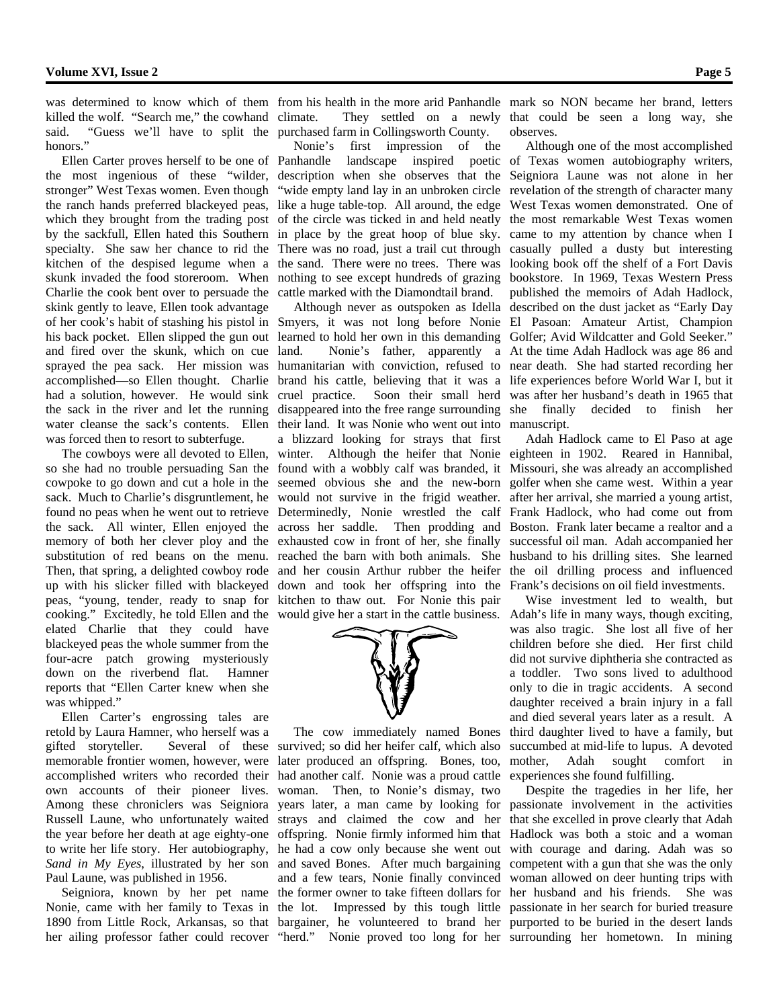killed the wolf. "Search me," the cowhand climate. said. "Guess we'll have to split the purchased farm in Collingsworth County. honors."

Ellen Carter proves herself to be one of the most ingenious of these "wilder, description when she observes that the Seigniora Laune was not alone in her stronger" West Texas women. Even though "wide empty land lay in an unbroken circle revelation of the strength of character many the ranch hands preferred blackeyed peas, like a huge table-top. All around, the edge West Texas women demonstrated. One of which they brought from the trading post of the circle was ticked in and held neatly the most remarkable West Texas women by the sackfull, Ellen hated this Southern in place by the great hoop of blue sky. came to my attention by chance when I specialty. She saw her chance to rid the There was no road, just a trail cut through casually pulled a dusty but interesting kitchen of the despised legume when a the sand. There were no trees. There was looking book off the shelf of a Fort Davis skunk invaded the food storeroom. When nothing to see except hundreds of grazing bookstore. In 1969, Texas Western Press Charlie the cook bent over to persuade the cattle marked with the Diamondtail brand. skink gently to leave, Ellen took advantage and fired over the skunk, which on cue the sack in the river and let the running was forced then to resort to subterfuge.

so she had no trouble persuading San the found with a wobbly calf was branded, it cowpoke to go down and cut a hole in the seemed obvious she and the new-born sack. Much to Charlie's disgruntlement, he would not survive in the frigid weather. found no peas when he went out to retrieve Determinedly, Nonie wrestled the calf the sack. All winter, Ellen enjoyed the across her saddle. Then prodding and memory of both her clever ploy and the exhausted cow in front of her, she finally substitution of red beans on the menu. reached the barn with both animals. She Then, that spring, a delighted cowboy rode and her cousin Arthur rubber the heifer peas, "young, tender, ready to snap for kitchen to thaw out. For Nonie this pair cooking." Excitedly, he told Ellen and the would give her a start in the cattle business. elated Charlie that they could have blackeyed peas the whole summer from the four-acre patch growing mysteriously down on the riverbend flat. Hamner reports that "Ellen Carter knew when she was whipped."

 Ellen Carter's engrossing tales are retold by Laura Hamner, who herself was a gifted storyteller. Several of these memorable frontier women, however, were accomplished writers who recorded their own accounts of their pioneer lives. Among these chroniclers was Seigniora Russell Laune, who unfortunately waited the year before her death at age eighty-one offspring. Nonie firmly informed him that to write her life story. Her autobiography, *Sand in My Eyes*, illustrated by her son and saved Bones. After much bargaining Paul Laune, was published in 1956.

 Seigniora, known by her pet name the former owner to take fifteen dollars for Nonie, came with her family to Texas in the lot. Impressed by this tough little 1890 from Little Rock, Arkansas, so that bargainer, he volunteered to brand her purported to be buried in the desert lands her ailing professor father could recover "herd." Nonie proved too long for her surrounding her hometown. In mining

was determined to know which of them from his health in the more arid Panhandle mark so NON became her brand, letters

 Nonie's first impression of the Panhandle landscape inspired poetic of Texas women autobiography writers,

of her cook's habit of stashing his pistol in Smyers, it was not long before Nonie El Pasoan: Amateur Artist, Champion his back pocket. Ellen slipped the gun out learned to hold her own in this demanding Golfer; Avid Wildcatter and Gold Seeker." sprayed the pea sack. Her mission was humanitarian with conviction, refused to near death. She had started recording her accomplished—so Ellen thought. Charlie brand his cattle, believing that it was a life experiences before World War I, but it had a solution, however. He would sink cruel practice. Soon their small herd was after her husband's death in 1965 that water cleanse the sack's contents. Ellen their land. It was Nonie who went out into manuscript. The cowboys were all devoted to Ellen, winter. Although the heifer that Nonie eighteen in 1902. Reared in Hannibal, up with his slicker filled with blackeyed down and took her offspring into the Frank's decisions on oil field investments. land. Nonie's father, apparently a At the time Adah Hadlock was age 86 and disappeared into the free range surrounding a blizzard looking for strays that first



 The cow immediately named Bones survived; so did her heifer calf, which also later produced an offspring. Bones, too, had another calf. Nonie was a proud cattle woman. Then, to Nonie's dismay, two years later, a man came by looking for strays and claimed the cow and her he had a cow only because she went out and a few tears, Nonie finally convinced

climate. They settled on a newly that could be seen a long way, she observes.

 Although never as outspoken as Idella described on the dust jacket as "Early Day Although one of the most accomplished published the memoirs of Adah Hadlock, finally decided to finish her

> Adah Hadlock came to El Paso at age Missouri, she was already an accomplished golfer when she came west. Within a year after her arrival, she married a young artist, Frank Hadlock, who had come out from Boston. Frank later became a realtor and a successful oil man. Adah accompanied her husband to his drilling sites. She learned the oil drilling process and influenced

> Wise investment led to wealth, but Adah's life in many ways, though exciting, was also tragic. She lost all five of her children before she died. Her first child did not survive diphtheria she contracted as a toddler. Two sons lived to adulthood only to die in tragic accidents. A second daughter received a brain injury in a fall and died several years later as a result. A third daughter lived to have a family, but succumbed at mid-life to lupus. A devoted mother, Adah sought comfort in experiences she found fulfilling.

> Despite the tragedies in her life, her passionate involvement in the activities that she excelled in prove clearly that Adah Hadlock was both a stoic and a woman with courage and daring. Adah was so competent with a gun that she was the only woman allowed on deer hunting trips with her husband and his friends. She was passionate in her search for buried treasure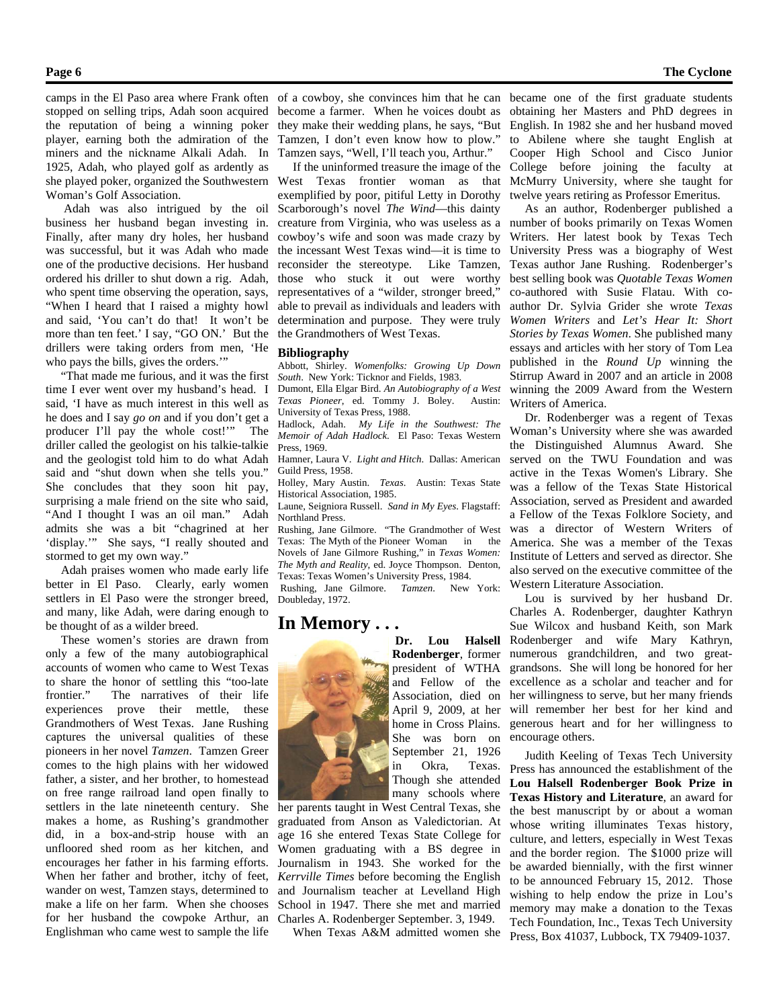stopped on selling trips, Adah soon acquired the reputation of being a winning poker player, earning both the admiration of the miners and the nickname Alkali Adah. In 1925, Adah, who played golf as ardently as she played poker, organized the Southwestern Woman's Golf Association.

Adah was also intrigued by the oil business her husband began investing in. Finally, after many dry holes, her husband was successful, but it was Adah who made one of the productive decisions. Her husband ordered his driller to shut down a rig. Adah, who spent time observing the operation, says, "When I heard that I raised a mighty howl and said, 'You can't do that! It won't be more than ten feet.' I say, "GO ON.' But the drillers were taking orders from men, 'He who pays the bills, gives the orders."

"That made me furious, and it was the first time I ever went over my husband's head. I said, 'I have as much interest in this well as he does and I say *go on* and if you don't get a producer I'll pay the whole cost!'" The driller called the geologist on his talkie-talkie and the geologist told him to do what Adah said and "shut down when she tells you." She concludes that they soon hit pay, surprising a male friend on the site who said, "And I thought I was an oil man." Adah admits she was a bit "chagrined at her 'display.'" She says, "I really shouted and stormed to get my own way."

Adah praises women who made early life better in El Paso. Clearly, early women settlers in El Paso were the stronger breed, and many, like Adah, were daring enough to be thought of as a wilder breed.

 These women's stories are drawn from only a few of the many autobiographical accounts of women who came to West Texas to share the honor of settling this "too-late frontier." The narratives of their life experiences prove their mettle, these Grandmothers of West Texas. Jane Rushing captures the universal qualities of these pioneers in her novel *Tamzen*. Tamzen Greer comes to the high plains with her widowed father, a sister, and her brother, to homestead on free range railroad land open finally to settlers in the late nineteenth century. She makes a home, as Rushing's grandmother did, in a box-and-strip house with an unfloored shed room as her kitchen, and encourages her father in his farming efforts. When her father and brother, itchy of feet, wander on west, Tamzen stays, determined to make a life on her farm. When she chooses for her husband the cowpoke Arthur, an Englishman who came west to sample the life

camps in the El Paso area where Frank often of a cowboy, she convinces him that he can became one of the first graduate students become a farmer. When he voices doubt as they make their wedding plans, he says, "But Tamzen, I don't even know how to plow." Tamzen says, "Well, I'll teach you, Arthur."

> If the uninformed treasure the image of the West Texas frontier woman as that exemplified by poor, pitiful Letty in Dorothy Scarborough's novel *The Wind*—this dainty creature from Virginia, who was useless as a cowboy's wife and soon was made crazy by the incessant West Texas wind—it is time to reconsider the stereotype. Like Tamzen, those who stuck it out were worthy representatives of a "wilder, stronger breed," able to prevail as individuals and leaders with determination and purpose. They were truly the Grandmothers of West Texas.

### **Bibliography**

Abbott, Shirley. *Womenfolks: Growing Up Down South*. New York: Ticknor and Fields, 1983.

Dumont, Ella Elgar Bird. *An Autobiography of a West Texas Pioneer*, ed. Tommy J. Boley. University of Texas Press, 1988.

Hadlock, Adah. *My Life in the Southwest: The Memoir of Adah Hadlock*. El Paso: Texas Western Press, 1969.

Hamner, Laura V. *Light and Hitch*. Dallas: American Guild Press, 1958.

Holley, Mary Austin. *Texas*. Austin: Texas State Historical Association, 1985.

Laune, Seigniora Russell. *Sand in My Eyes*. Flagstaff: Northland Press.

Rushing, Jane Gilmore. "The Grandmother of West Texas: The Myth of the Pioneer Woman in the Novels of Jane Gilmore Rushing," in *Texas Women: The Myth and Reality*, ed. Joyce Thompson. Denton, Texas: Texas Women's University Press, 1984.

Rushing, Jane Gilmore. *Tamzen*. New York: Doubleday, 1972.

president of WTHA

April 9, 2009, at her home in Cross Plains. She was born on September 21, 1926 in Okra, Texas. Though she attended

## **In Memory . . .**



many schools where her parents taught in West Central Texas, she graduated from Anson as Valedictorian. At age 16 she entered Texas State College for Women graduating with a BS degree in Journalism in 1943. She worked for the *Kerrville Times* before becoming the English and Journalism teacher at Levelland High School in 1947. There she met and married Charles A. Rodenberger September. 3, 1949.

When Texas A&M admitted women she

obtaining her Masters and PhD degrees in English. In 1982 she and her husband moved to Abilene where she taught English at Cooper High School and Cisco Junior College before joining the faculty at McMurry University, where she taught for twelve years retiring as Professor Emeritus.

 As an author, Rodenberger published a number of books primarily on Texas Women Writers. Her latest book by Texas Tech University Press was a biography of West Texas author Jane Rushing. Rodenberger's best selling book was *Quotable Texas Women* co-authored with Susie Flatau. With coauthor Dr. Sylvia Grider she wrote *Texas Women Writers* and *Let's Hear It: Short Stories by Texas Women*. She published many essays and articles with her story of Tom Lea published in the *Round Up* winning the Stirrup Award in 2007 and an article in 2008 winning the 2009 Award from the Western Writers of America.

Dr. Rodenberger was a regent of Texas Woman's University where she was awarded the Distinguished Alumnus Award. She served on the TWU Foundation and was active in the Texas Women's Library. She was a fellow of the Texas State Historical Association, served as President and awarded a Fellow of the Texas Folklore Society, and was a director of Western Writers of America. She was a member of the Texas Institute of Letters and served as director. She also served on the executive committee of the Western Literature Association.

**Dr. Lou Halsell** Rodenberger and wife Mary Kathryn, **Rodenberger**, former numerous grandchildren, and two greatand Fellow of the excellence as a scholar and teacher and for Association, died on her willingness to serve, but her many friends Lou is survived by her husband Dr. Charles A. Rodenberger, daughter Kathryn Sue Wilcox and husband Keith, son Mark grandsons. She will long be honored for her will remember her best for her kind and generous heart and for her willingness to encourage others.

> Judith Keeling of Texas Tech University Press has announced the establishment of the **Lou Halsell Rodenberger Book Prize in Texas History and Literature**, an award for the best manuscript by or about a woman whose writing illuminates Texas history, culture, and letters, especially in West Texas and the border region. The \$1000 prize will be awarded biennially, with the first winner to be announced February 15, 2012. Those wishing to help endow the prize in Lou's memory may make a donation to the Texas Tech Foundation, Inc., Texas Tech University Press, Box 41037, Lubbock, TX 79409-1037.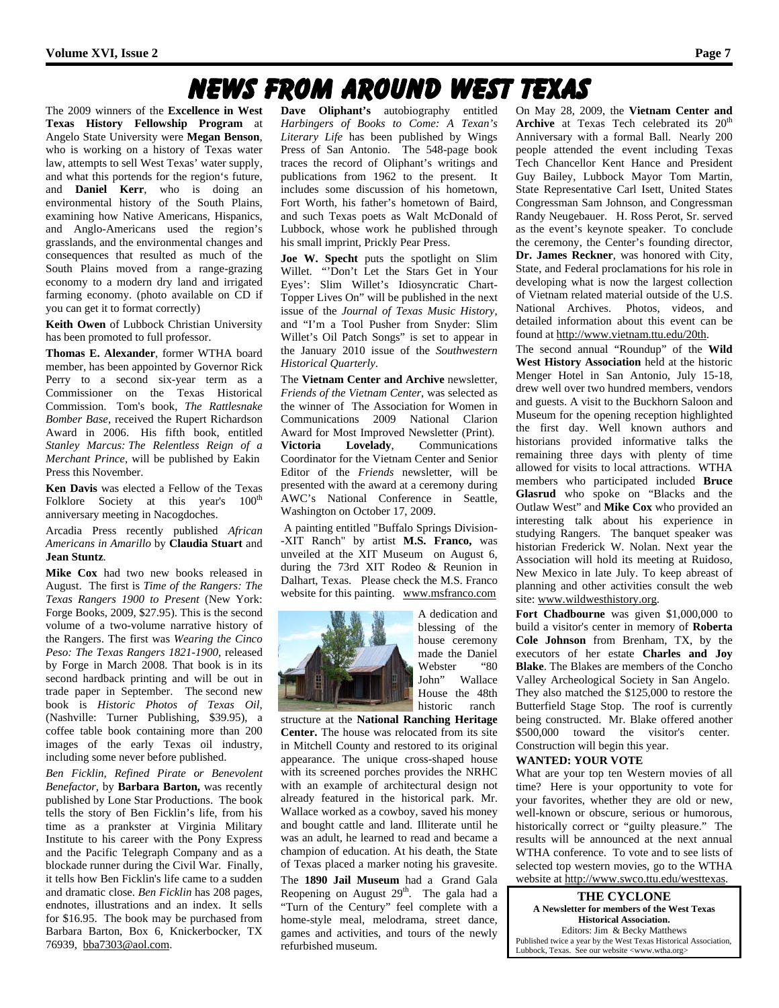## News From Around West Texas

The 2009 winners of the **Excellence in West Texas History Fellowship Program** at Angelo State University were **Megan Benson**, who is working on a history of Texas water law, attempts to sell West Texas' water supply, and what this portends for the region's future, and **Daniel Kerr**, who is doing an environmental history of the South Plains, examining how Native Americans, Hispanics, and Anglo-Americans used the region's grasslands, and the environmental changes and consequences that resulted as much of the South Plains moved from a range-grazing economy to a modern dry land and irrigated farming economy. (photo available on CD if you can get it to format correctly)

**Keith Owen** of Lubbock Christian University has been promoted to full professor.

**Thomas E. Alexander**, former WTHA board member, has been appointed by Governor Rick Perry to a second six-year term as a Commissioner on the Texas Historical Commission. Tom's book, *The Rattlesnake Bomber Base*, received the Rupert Richardson Award in 2006. His fifth book, entitled *Stanley Marcus: The Relentless Reign of a Merchant Prince*, will be published by Eakin Press this November.

**Ken Davis** was elected a Fellow of the Texas Folklore Society at this year's 100<sup>th</sup> anniversary meeting in Nacogdoches.

Arcadia Press recently published *African Americans in Amarillo* by **Claudia Stuart** and **Jean Stuntz**.

**Mike Cox** had two new books released in August. The first is *Time of the Rangers: The Texas Rangers 1900 to Present* (New York: Forge Books, 2009, \$27.95). This is the second volume of a two-volume narrative history of the Rangers. The first was *Wearing the Cinco Peso: The Texas Rangers 1821-1900,* released by Forge in March 2008. That book is in its second hardback printing and will be out in trade paper in September. The second new book is *Historic Photos of Texas Oil*, (Nashville: Turner Publishing, \$39.95), a coffee table book containing more than 200 images of the early Texas oil industry, including some never before published.

*Ben Ficklin, Refined Pirate or Benevolent Benefactor,* by **Barbara Barton,** was recently published by Lone Star Productions. The book tells the story of Ben Ficklin's life, from his time as a prankster at Virginia Military Institute to his career with the Pony Express and the Pacific Telegraph Company and as a blockade runner during the Civil War. Finally, it tells how Ben Ficklin's life came to a sudden and dramatic close. *Ben Ficklin* has 208 pages, endnotes, illustrations and an index. It sells for \$16.95. The book may be purchased from Barbara Barton, Box 6, Knickerbocker, TX 76939, bba7303@aol.com.

**Dave Oliphant's** autobiography entitled *Harbingers of Books to Come: A Texan's Literary Life* has been published by Wings Press of San Antonio. The 548-page book traces the record of Oliphant's writings and publications from 1962 to the present. It includes some discussion of his hometown, Fort Worth, his father's hometown of Baird, and such Texas poets as Walt McDonald of Lubbock, whose work he published through his small imprint, Prickly Pear Press.

**Joe W. Specht** puts the spotlight on Slim Willet. "'Don't Let the Stars Get in Your Eyes': Slim Willet's Idiosyncratic Chart-Topper Lives On" will be published in the next issue of the *Journal of Texas Music History*, and "I'm a Tool Pusher from Snyder: Slim Willet's Oil Patch Songs" is set to appear in the January 2010 issue of the *Southwestern Historical Quarterly*.

The **Vietnam Center and Archive** newsletter, *Friends of the Vietnam Center*, was selected as the winner of The Association for Women in Communications 2009 National Clarion Award for Most Improved Newsletter (Print). **Victoria Lovelady**, Communications Coordinator for the Vietnam Center and Senior Editor of the *Friends* newsletter, will be presented with the award at a ceremony during AWC's National Conference in Seattle, Washington on October 17, 2009.

A painting entitled "Buffalo Springs Division- -XIT Ranch" by artist **M.S. Franco,** was unveiled at the XIT Museum on August 6, during the 73rd XIT Rodeo & Reunion in Dalhart, Texas. Please check the M.S. Franco website for this painting. www.msfranco.com



A dedication and blessing of the house ceremony made the Daniel<br>Webster "80 Webster John" Wallace House the 48th historic ranch

structure at the **National Ranching Heritage Center.** The house was relocated from its site in Mitchell County and restored to its original appearance. The unique cross-shaped house with its screened porches provides the NRHC with an example of architectural design not already featured in the historical park. Mr. Wallace worked as a cowboy, saved his money and bought cattle and land. Illiterate until he was an adult, he learned to read and became a champion of education. At his death, the State of Texas placed a marker noting his gravesite.

The **1890 Jail Museum** had a Grand Gala Reopening on August 29<sup>th</sup>. The gala had a "Turn of the Century" feel complete with a home-style meal, melodrama, street dance, games and activities, and tours of the newly refurbished museum.

On May 28, 2009, the **Vietnam Center and Archive** at Texas Tech celebrated its 20<sup>th</sup> Anniversary with a formal Ball. Nearly 200 people attended the event including Texas Tech Chancellor Kent Hance and President Guy Bailey, Lubbock Mayor Tom Martin, State Representative Carl Isett, United States Congressman Sam Johnson, and Congressman Randy Neugebauer. H. Ross Perot, Sr. served as the event's keynote speaker. To conclude the ceremony, the Center's founding director, **Dr. James Reckner**, was honored with City, State, and Federal proclamations for his role in developing what is now the largest collection of Vietnam related material outside of the U.S. National Archives. Photos, videos, and detailed information about this event can be found at http://www.vietnam.ttu.edu/20th.

The second annual "Roundup" of the **Wild West History Association** held at the historic Menger Hotel in San Antonio, July 15-18, drew well over two hundred members, vendors and guests. A visit to the Buckhorn Saloon and Museum for the opening reception highlighted the first day. Well known authors and historians provided informative talks the remaining three days with plenty of time allowed for visits to local attractions. WTHA members who participated included **Bruce Glasrud** who spoke on "Blacks and the Outlaw West" and **Mike Cox** who provided an interesting talk about his experience in studying Rangers. The banquet speaker was historian Frederick W. Nolan. Next year the Association will hold its meeting at Ruidoso, New Mexico in late July. To keep abreast of planning and other activities consult the web site: www.wildwesthistory.org.

**Fort Chadbourne** was given \$1,000,000 to build a visitor's center in memory of **Roberta Cole Johnson** from Brenham, TX, by the executors of her estate **Charles and Joy Blake**. The Blakes are members of the Concho Valley Archeological Society in San Angelo. They also matched the \$125,000 to restore the Butterfield Stage Stop. The roof is currently being constructed. Mr. Blake offered another \$500,000 toward the visitor's center. Construction will begin this year.

#### **WANTED: YOUR VOTE**

What are your top ten Western movies of all time? Here is your opportunity to vote for your favorites, whether they are old or new, well-known or obscure, serious or humorous, historically correct or "guilty pleasure." The results will be announced at the next annual WTHA conference. To vote and to see lists of selected top western movies, go to the WTHA website at http://www.swco.ttu.edu/westtexas.

**THE CYCLONE A Newsletter for members of the West Texas Historical Association.** Editors: Jim & Becky Matthews Published twice a year by the West Texas Historical Association, Lubbock, Texas. See our website <www.wtha.org>